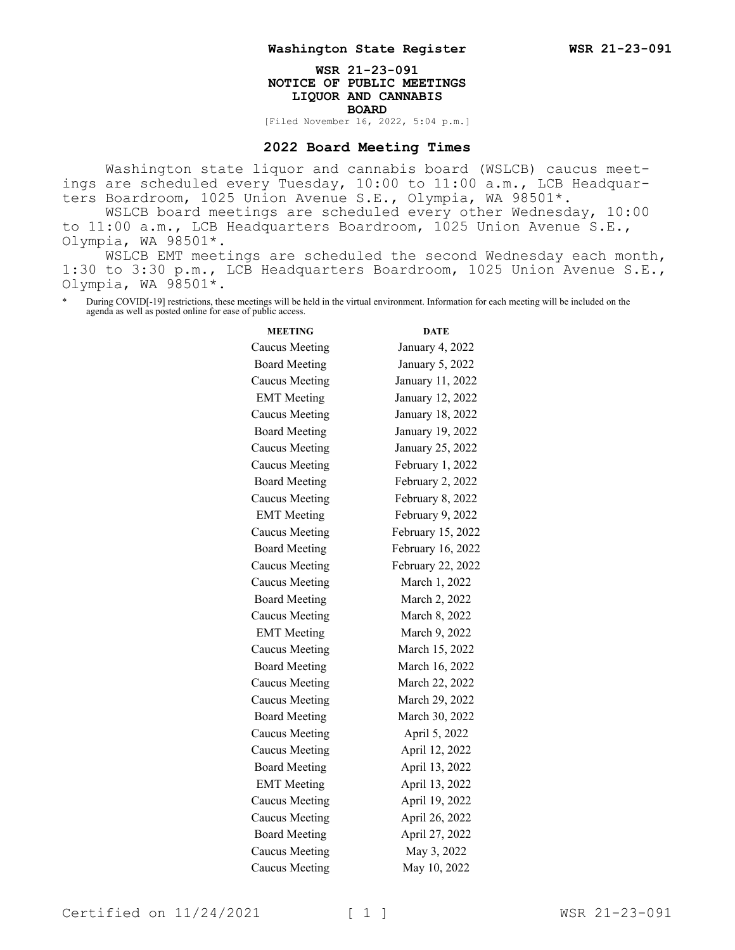## **WSR 21-23-091 NOTICE OF PUBLIC MEETINGS LIQUOR AND CANNABIS BOARD** [Filed November 16, 2022, 5:04 p.m.]

## **2022 Board Meeting Times**

Washington state liquor and cannabis board (WSLCB) caucus meetings are scheduled every Tuesday, 10:00 to 11:00 a.m., LCB Headquarters Boardroom, 1025 Union Avenue S.E., Olympia, WA 98501\*. WSLCB board meetings are scheduled every other Wednesday, 10:00

to 11:00 a.m., LCB Headquarters Boardroom, 1025 Union Avenue S.E., Olympia, WA 98501\*.

WSLCB EMT meetings are scheduled the second Wednesday each month, 1:30 to 3:30 p.m., LCB Headquarters Boardroom, 1025 Union Avenue S.E., Olympia, WA 98501\*.

During COVID[-19] restrictions, these meetings will be held in the virtual environment. Information for each meeting will be included on the agenda as well as posted online for ease of public access.

| <b>MEETING</b>        | <b>DATE</b>       |
|-----------------------|-------------------|
| Caucus Meeting        | January 4, 2022   |
| <b>Board Meeting</b>  | January 5, 2022   |
| <b>Caucus Meeting</b> | January 11, 2022  |
| <b>EMT</b> Meeting    | January 12, 2022  |
| Caucus Meeting        | January 18, 2022  |
| <b>Board Meeting</b>  | January 19, 2022  |
| <b>Caucus Meeting</b> | January 25, 2022  |
| <b>Caucus Meeting</b> | February 1, 2022  |
| <b>Board Meeting</b>  | February 2, 2022  |
| <b>Caucus Meeting</b> | February 8, 2022  |
| <b>EMT</b> Meeting    | February 9, 2022  |
| <b>Caucus Meeting</b> | February 15, 2022 |
| <b>Board Meeting</b>  | February 16, 2022 |
| <b>Caucus Meeting</b> | February 22, 2022 |
| Caucus Meeting        | March 1, 2022     |
| <b>Board Meeting</b>  | March 2, 2022     |
| <b>Caucus Meeting</b> | March 8, 2022     |
| <b>EMT</b> Meeting    | March 9, 2022     |
| <b>Caucus Meeting</b> | March 15, 2022    |
| <b>Board Meeting</b>  | March 16, 2022    |
| <b>Caucus Meeting</b> | March 22, 2022    |
| Caucus Meeting        | March 29, 2022    |
| <b>Board Meeting</b>  | March 30, 2022    |
| <b>Caucus Meeting</b> | April 5, 2022     |
| <b>Caucus Meeting</b> | April 12, 2022    |
| <b>Board Meeting</b>  | April 13, 2022    |
| <b>EMT</b> Meeting    | April 13, 2022    |
| <b>Caucus Meeting</b> | April 19, 2022    |
| <b>Caucus Meeting</b> | April 26, 2022    |
| <b>Board Meeting</b>  | April 27, 2022    |
| <b>Caucus Meeting</b> | May 3, 2022       |
| <b>Caucus Meeting</b> | May 10, 2022      |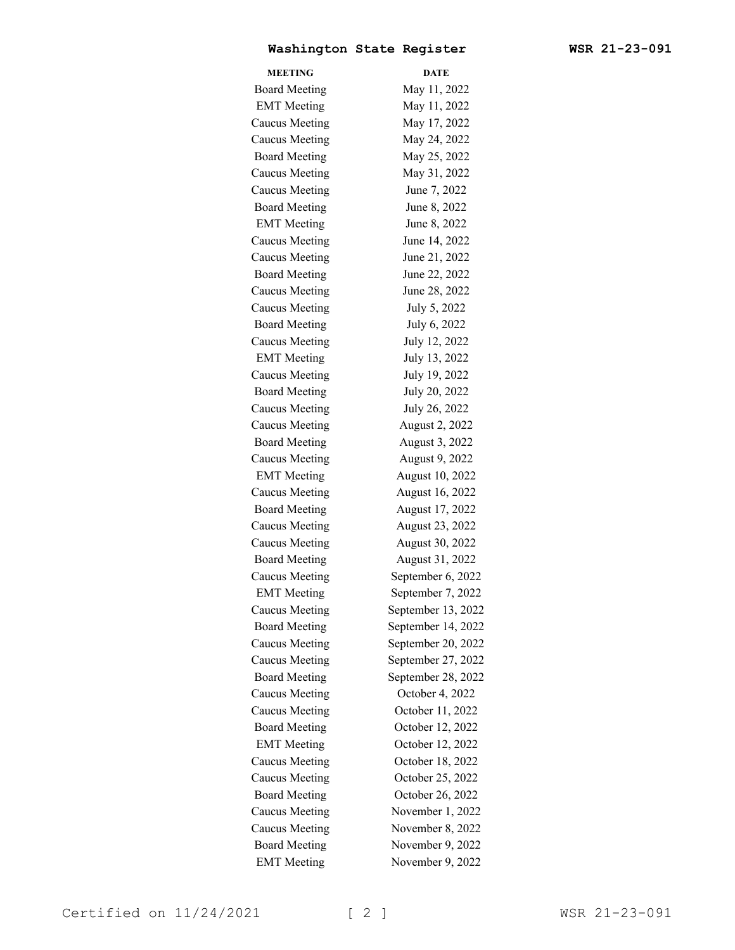## **Washington State Register WSR 21-23-091**

| <b>MEETING</b>        | <b>DATE</b>        |
|-----------------------|--------------------|
| <b>Board Meeting</b>  | May 11, 2022       |
| <b>EMT</b> Meeting    | May 11, 2022       |
| <b>Caucus Meeting</b> | May 17, 2022       |
| <b>Caucus Meeting</b> | May 24, 2022       |
| <b>Board Meeting</b>  | May 25, 2022       |
| <b>Caucus Meeting</b> | May 31, 2022       |
| <b>Caucus Meeting</b> | June 7, 2022       |
| <b>Board Meeting</b>  | June 8, 2022       |
| <b>EMT</b> Meeting    | June 8, 2022       |
| Caucus Meeting        | June 14, 2022      |
| <b>Caucus Meeting</b> | June 21, 2022      |
| <b>Board Meeting</b>  | June 22, 2022      |
| <b>Caucus Meeting</b> | June 28, 2022      |
| <b>Caucus Meeting</b> | July 5, 2022       |
| <b>Board Meeting</b>  | July 6, 2022       |
| <b>Caucus Meeting</b> | July 12, 2022      |
| <b>EMT</b> Meeting    | July 13, 2022      |
| <b>Caucus Meeting</b> | July 19, 2022      |
| <b>Board Meeting</b>  | July 20, 2022      |
| <b>Caucus Meeting</b> | July 26, 2022      |
| <b>Caucus Meeting</b> | August 2, 2022     |
| <b>Board Meeting</b>  | August 3, 2022     |
| Caucus Meeting        | August 9, 2022     |
| <b>EMT</b> Meeting    | August 10, 2022    |
| <b>Caucus Meeting</b> | August 16, 2022    |
| <b>Board Meeting</b>  | August 17, 2022    |
| <b>Caucus Meeting</b> | August 23, 2022    |
| Caucus Meeting        | August 30, 2022    |
| <b>Board Meeting</b>  | August 31, 2022    |
| <b>Caucus Meeting</b> | September 6, 2022  |
| <b>EMT</b> Meeting    | September 7, 2022  |
| <b>Caucus Meeting</b> | September 13, 2022 |
| <b>Board Meeting</b>  | September 14, 2022 |
| Caucus Meeting        | September 20, 2022 |
| <b>Caucus Meeting</b> | September 27, 2022 |
| <b>Board Meeting</b>  | September 28, 2022 |
| Caucus Meeting        | October 4, 2022    |
| Caucus Meeting        | October 11, 2022   |
| <b>Board Meeting</b>  | October 12, 2022   |
| <b>EMT</b> Meeting    | October 12, 2022   |
| <b>Caucus Meeting</b> | October 18, 2022   |
| <b>Caucus Meeting</b> | October 25, 2022   |
| <b>Board Meeting</b>  | October 26, 2022   |
| Caucus Meeting        | November 1, 2022   |
| <b>Caucus Meeting</b> | November 8, 2022   |
| <b>Board Meeting</b>  | November 9, 2022   |
| <b>EMT</b> Meeting    | November 9, 2022   |
|                       |                    |